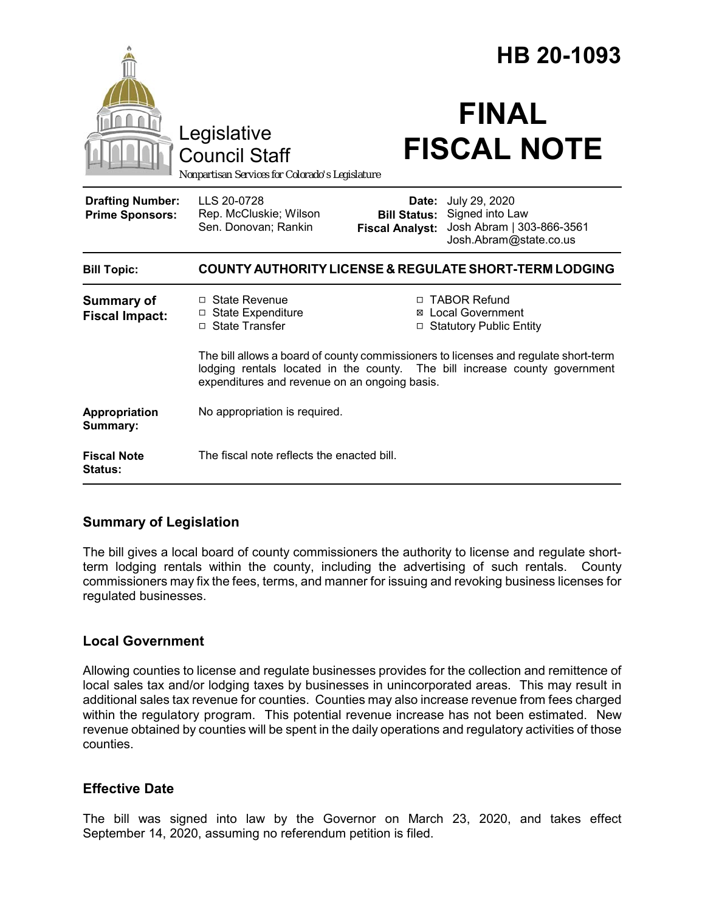|                                                                                        |                                                                                                                                                                                                                    |                                                        | HB 20-1093                                                                              |
|----------------------------------------------------------------------------------------|--------------------------------------------------------------------------------------------------------------------------------------------------------------------------------------------------------------------|--------------------------------------------------------|-----------------------------------------------------------------------------------------|
| Legislative<br><b>Council Staff</b><br>Nonpartisan Services for Colorado's Legislature |                                                                                                                                                                                                                    | <b>FINAL</b><br><b>FISCAL NOTE</b>                     |                                                                                         |
| <b>Drafting Number:</b><br><b>Prime Sponsors:</b>                                      | LLS 20-0728<br>Rep. McCluskie; Wilson<br>Sen. Donovan; Rankin                                                                                                                                                      | Date:<br><b>Bill Status:</b><br><b>Fiscal Analyst:</b> | July 29, 2020<br>Signed into Law<br>Josh Abram   303-866-3561<br>Josh.Abram@state.co.us |
| <b>Bill Topic:</b>                                                                     | COUNTY AUTHORITY LICENSE & REGULATE SHORT-TERM LODGING                                                                                                                                                             |                                                        |                                                                                         |
| <b>Summary of</b><br><b>Fiscal Impact:</b>                                             | $\Box$ State Revenue<br>□ State Expenditure<br>□ State Transfer                                                                                                                                                    | ⊠                                                      | □ TABOR Refund<br><b>Local Government</b><br><b>Statutory Public Entity</b>             |
|                                                                                        | The bill allows a board of county commissioners to licenses and regulate short-term<br>lodging rentals located in the county. The bill increase county government<br>expenditures and revenue on an ongoing basis. |                                                        |                                                                                         |
| Appropriation<br>Summary:                                                              | No appropriation is required.                                                                                                                                                                                      |                                                        |                                                                                         |
| <b>Fiscal Note</b><br>Status:                                                          | The fiscal note reflects the enacted bill.                                                                                                                                                                         |                                                        |                                                                                         |

## **Summary of Legislation**

The bill gives a local board of county commissioners the authority to license and regulate shortterm lodging rentals within the county, including the advertising of such rentals. County commissioners may fix the fees, terms, and manner for issuing and revoking business licenses for regulated businesses.

## **Local Government**

Allowing counties to license and regulate businesses provides for the collection and remittence of local sales tax and/or lodging taxes by businesses in unincorporated areas. This may result in additional sales tax revenue for counties. Counties may also increase revenue from fees charged within the regulatory program. This potential revenue increase has not been estimated. New revenue obtained by counties will be spent in the daily operations and regulatory activities of those counties.

## **Effective Date**

The bill was signed into law by the Governor on March 23, 2020, and takes effect September 14, 2020, assuming no referendum petition is filed.